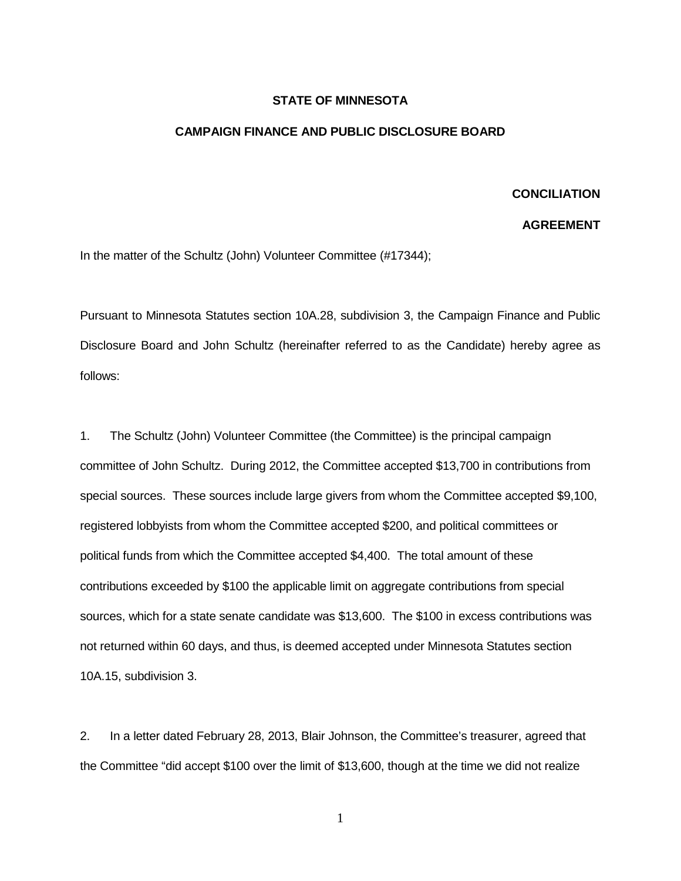## **STATE OF MINNESOTA**

## **CAMPAIGN FINANCE AND PUBLIC DISCLOSURE BOARD**

## **CONCILIATION**

## **AGREEMENT**

In the matter of the Schultz (John) Volunteer Committee (#17344);

Pursuant to Minnesota Statutes section 10A.28, subdivision 3, the Campaign Finance and Public Disclosure Board and John Schultz (hereinafter referred to as the Candidate) hereby agree as follows:

1. The Schultz (John) Volunteer Committee (the Committee) is the principal campaign committee of John Schultz. During 2012, the Committee accepted \$13,700 in contributions from special sources. These sources include large givers from whom the Committee accepted \$9,100, registered lobbyists from whom the Committee accepted \$200, and political committees or political funds from which the Committee accepted \$4,400. The total amount of these contributions exceeded by \$100 the applicable limit on aggregate contributions from special sources, which for a state senate candidate was \$13,600. The \$100 in excess contributions was not returned within 60 days, and thus, is deemed accepted under Minnesota Statutes section 10A.15, subdivision 3.

2. In a letter dated February 28, 2013, Blair Johnson, the Committee's treasurer, agreed that the Committee "did accept \$100 over the limit of \$13,600, though at the time we did not realize

1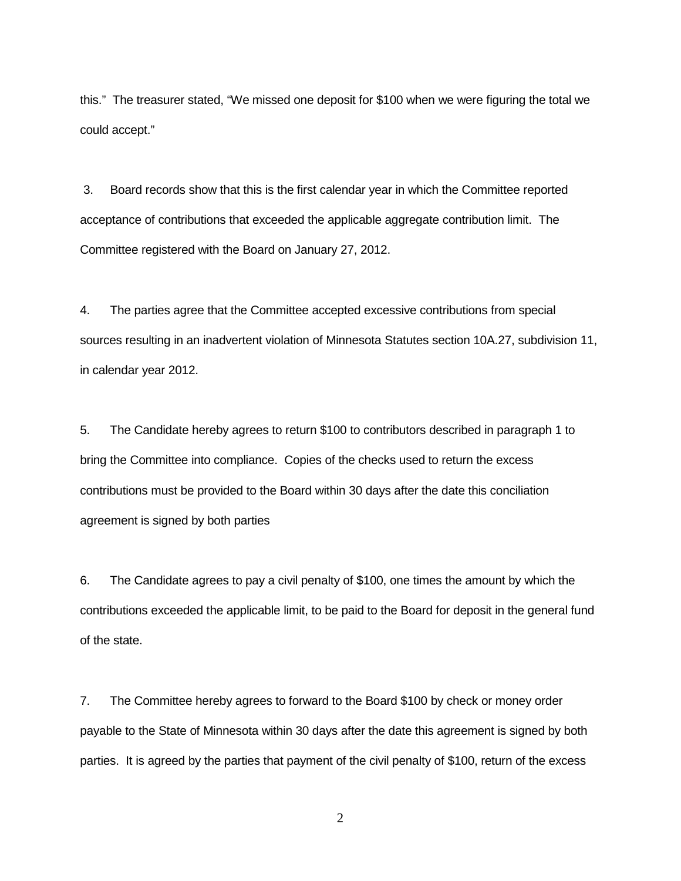this." The treasurer stated, "We missed one deposit for \$100 when we were figuring the total we could accept."

3. Board records show that this is the first calendar year in which the Committee reported acceptance of contributions that exceeded the applicable aggregate contribution limit. The Committee registered with the Board on January 27, 2012.

4. The parties agree that the Committee accepted excessive contributions from special sources resulting in an inadvertent violation of Minnesota Statutes section 10A.27, subdivision 11, in calendar year 2012.

5. The Candidate hereby agrees to return \$100 to contributors described in paragraph 1 to bring the Committee into compliance. Copies of the checks used to return the excess contributions must be provided to the Board within 30 days after the date this conciliation agreement is signed by both parties

6. The Candidate agrees to pay a civil penalty of \$100, one times the amount by which the contributions exceeded the applicable limit, to be paid to the Board for deposit in the general fund of the state.

7. The Committee hereby agrees to forward to the Board \$100 by check or money order payable to the State of Minnesota within 30 days after the date this agreement is signed by both parties. It is agreed by the parties that payment of the civil penalty of \$100, return of the excess

2